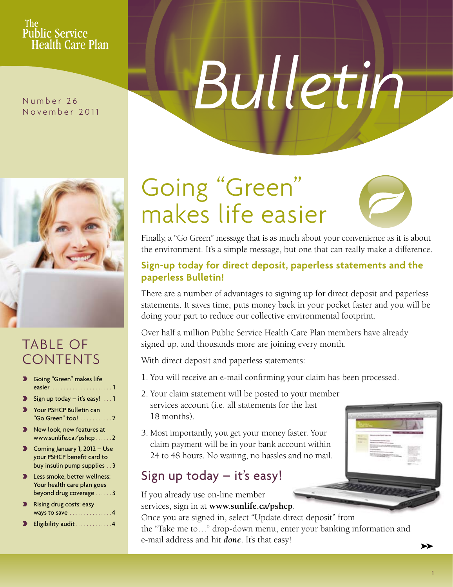### **The** Public Service **Health Care Plan**

Number 26 November 2011

# *Bulletin*



# Table of **CONTENTS**

- Going "Green" makes life easier . . . . . . . . . . . . . . . . . . . . . 1
- $\blacktriangleright$  Sign up today it's easy! . . . 1
- Your PSHCP Bulletin can "Go Green" too! . . . . . . . . . . . 2
- $\blacktriangleright$  New look, new features at www.sunlife.ca/pshcp . . . . . 2
- $\blacktriangleright$  Coming January 1, 2012 Use your PSHCP benefit card to buy insulin pump supplies . 3
- ▶ Less smoke, better wellness: Your health care plan goes beyond drug coverage . . . . . . 3
- ▶ Rising drug costs: easy ways to save . . . . . . . . . . . . . . 4
- $\blacktriangleright$  Eligibility audit . . . . . . . . . . . . 4

# Going "Green" makes life easier

Finally, a "Go Green" message that is as much about your convenience as it is about the environment. It's a simple message, but one that can really make a difference.

## **Sign-up today for direct deposit, paperless statements and the paperless Bulletin!**

There are a number of advantages to signing up for direct deposit and paperless statements. It saves time, puts money back in your pocket faster and you will be doing your part to reduce our collective environmental footprint.

Over half a million Public Service Health Care Plan members have already signed up, and thousands more are joining every month.

With direct deposit and paperless statements:

- 1. You will receive an e-mail confirming your claim has been processed.
- 2. Your claim statement will be posted to your member services account (i.e. all statements for the last 18 months).
- 3. Most importantly, you get your money faster. Your claim payment will be in your bank account within 24 to 48 hours. No waiting, no hassles and no mail.

# Sign up today – it's easy!

If you already use on-line member services, sign in at **www.sunlife.ca/pshcp**. Once you are signed in, select "Update direct deposit" from the "Take me to…" drop-down menu, enter your banking information and e-mail address and hit *done*. It's that easy!

➤➤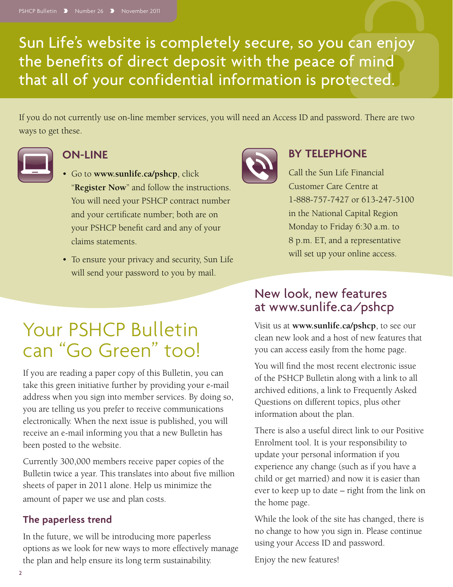Sun Life's website is completely secure, so you can enjoy the benefits of direct deposit with the peace of mind that all of your confidential information is protected.

If you do not currently use on-line member services, you will need an Access ID and password. There are two ways to get these.



## **On-line**

- • Go to **www.sunlife.ca/pshcp**, click "**Register Now**" and follow the instructions. You will need your PSHCP contract number and your certificate number; both are on your PSHCP benefit card and any of your claims statements.
- To ensure your privacy and security, Sun Life will send your password to you by mail.



If you are reading a paper copy of this Bulletin, you can take this green initiative further by providing your e-mail address when you sign into member services. By doing so, you are telling us you prefer to receive communications electronically. When the next issue is published, you will receive an e-mail informing you that a new Bulletin has been posted to the website.

Currently 300,000 members receive paper copies of the Bulletin twice a year. This translates into about five million sheets of paper in 2011 alone. Help us minimize the amount of paper we use and plan costs.

# **The paperless trend**

In the future, we will be introducing more paperless options as we look for new ways to more effectively manage the plan and help ensure its long term sustainability.



# **By Telephone**

Call the Sun Life Financial Customer Care Centre at 1-888-757-7427 or 613-247-5100 in the National Capital Region Monday to Friday 6:30 a.m. to 8 p.m. ET, and a representative will set up your online access.

# New look, new features at www.sunlife.ca/pshcp

Visit us at **www.sunlife.ca/pshcp**, to see our clean new look and a host of new features that you can access easily from the home page.

You will find the most recent electronic issue of the PSHCP Bulletin along with a link to all archived editions, a link to Frequently Asked Questions on different topics, plus other information about the plan.

There is also a useful direct link to our Positive Enrolment tool. It is your responsibility to update your personal information if you experience any change (such as if you have a child or get married) and now it is easier than ever to keep up to date – right from the link on the home page.

While the look of the site has changed, there is no change to how you sign in. Please continue using your Access ID and password.

Enjoy the new features!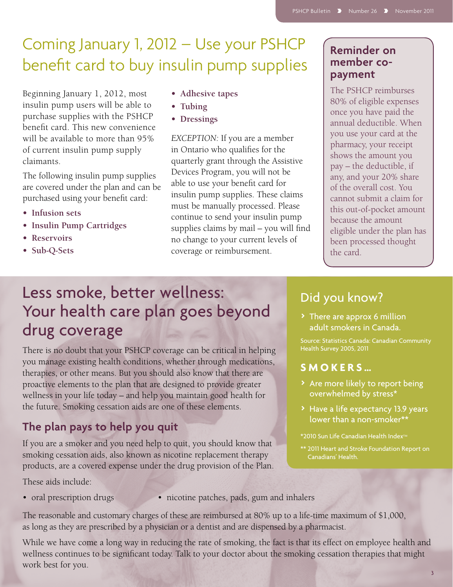# Coming January 1, 2012 – Use your PSHCP benefit card to buy insulin pump supplies

Beginning January 1, 2012, most insulin pump users will be able to purchase supplies with the PSHCP benefit card. This new convenience will be available to more than 95% of current insulin pump supply claimants.

The following insulin pump supplies are covered under the plan and can be purchased using your benefit card:

- **• Infusion sets**
- **• Insulin Pump Cartridges**
- **• Reservoirs**
- **• Sub-Q-Sets**
- **• Adhesive tapes**
- **• Tubing**
- **• Dressings**

*EXCEPTION:* If you are a member in Ontario who qualifies for the quarterly grant through the Assistive Devices Program, you will not be able to use your benefit card for insulin pump supplies. These claims must be manually processed. Please continue to send your insulin pump supplies claims by mail – you will find no change to your current levels of coverage or reimbursement.

## **Reminder on member copayment**

The PSHCP reimburses 80% of eligible expenses once you have paid the annual deductible. When you use your card at the pharmacy, your receipt shows the amount you pay – the deductible, if any, and your 20% share of the overall cost. You cannot submit a claim for this out-of-pocket amount because the amount eligible under the plan has been processed thought the card.

# Less smoke, better wellness: Your health care plan goes beyond drug coverage

There is no doubt that your PSHCP coverage can be critical in helping you manage existing health conditions, whether through medications, therapies, or other means. But you should also know that there are proactive elements to the plan that are designed to provide greater wellness in your life today – and help you maintain good health for the future. Smoking cessation aids are one of these elements.

# **The plan pays to help you quit**

If you are a smoker and you need help to quit, you should know that smoking cessation aids, also known as nicotine replacement therapy products, are a covered expense under the drug provision of the Plan.

These aids include:

- 
- oral prescription drugs nicotine patches, pads, gum and inhalers

The reasonable and customary charges of these are reimbursed at 80% up to a life-time maximum of \$1,000, as long as they are prescribed by a physician or a dentist and are dispensed by a pharmacist.

While we have come a long way in reducing the rate of smoking, the fact is that its effect on employee health and wellness continues to be significant today. Talk to your doctor about the smoking cessation therapies that might work best for you.

# Did you know?

> There are approx 6 million adult smokers in Canada.

Source: Statistics Canada: Canadian Community Health Survey 2005, 2011

## **Smoker s …**

- > Are more likely to report being overwhelmed by stress\*
- > Have a life expectancy 13.9 years lower than a non-smoker\*\*

\*2010 Sun Life Canadian Health Index<sup>™</sup>

\*\* 2011 Heart and Stroke Foundation Report on Canadians' Health.